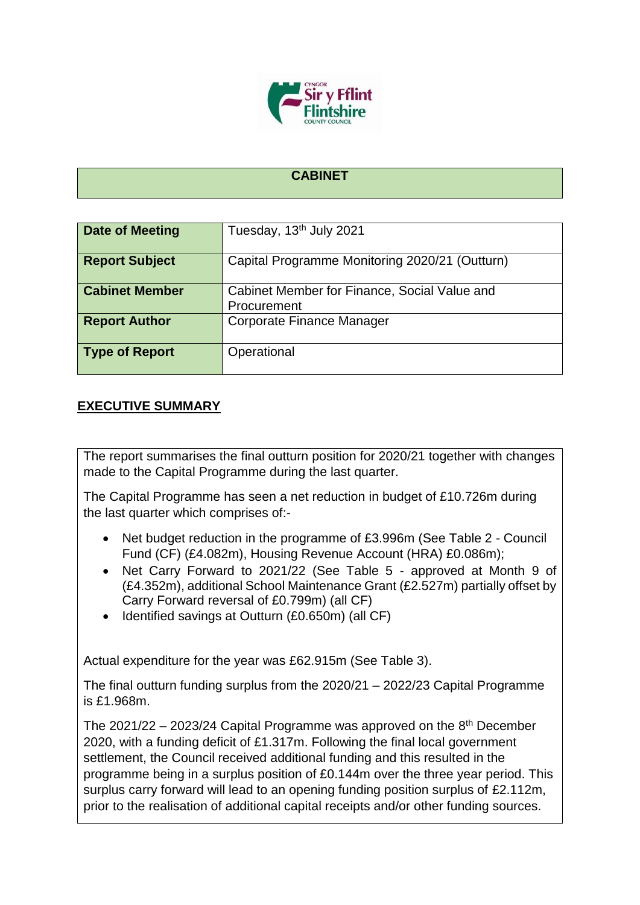

## **CABINET**

| <b>Date of Meeting</b> | Tuesday, 13 <sup>th</sup> July 2021                         |
|------------------------|-------------------------------------------------------------|
| <b>Report Subject</b>  | Capital Programme Monitoring 2020/21 (Outturn)              |
| <b>Cabinet Member</b>  | Cabinet Member for Finance, Social Value and<br>Procurement |
| <b>Report Author</b>   | Corporate Finance Manager                                   |
| <b>Type of Report</b>  | Operational                                                 |

## **EXECUTIVE SUMMARY**

The report summarises the final outturn position for 2020/21 together with changes made to the Capital Programme during the last quarter.

The Capital Programme has seen a net reduction in budget of £10.726m during the last quarter which comprises of:-

- Net budget reduction in the programme of £3.996m (See Table 2 Council Fund (CF) (£4.082m), Housing Revenue Account (HRA) £0.086m);
- Net Carry Forward to 2021/22 (See Table 5 approved at Month 9 of (£4.352m), additional School Maintenance Grant (£2.527m) partially offset by Carry Forward reversal of £0.799m) (all CF)
- $\bullet$  Identified savings at Outturn (£0.650m) (all CF)

Actual expenditure for the year was £62.915m (See Table 3).

The final outturn funding surplus from the 2020/21 – 2022/23 Capital Programme is £1.968m.

The 2021/22 – 2023/24 Capital Programme was approved on the  $8<sup>th</sup>$  December 2020, with a funding deficit of £1.317m. Following the final local government settlement, the Council received additional funding and this resulted in the programme being in a surplus position of £0.144m over the three year period. This surplus carry forward will lead to an opening funding position surplus of £2.112m, prior to the realisation of additional capital receipts and/or other funding sources.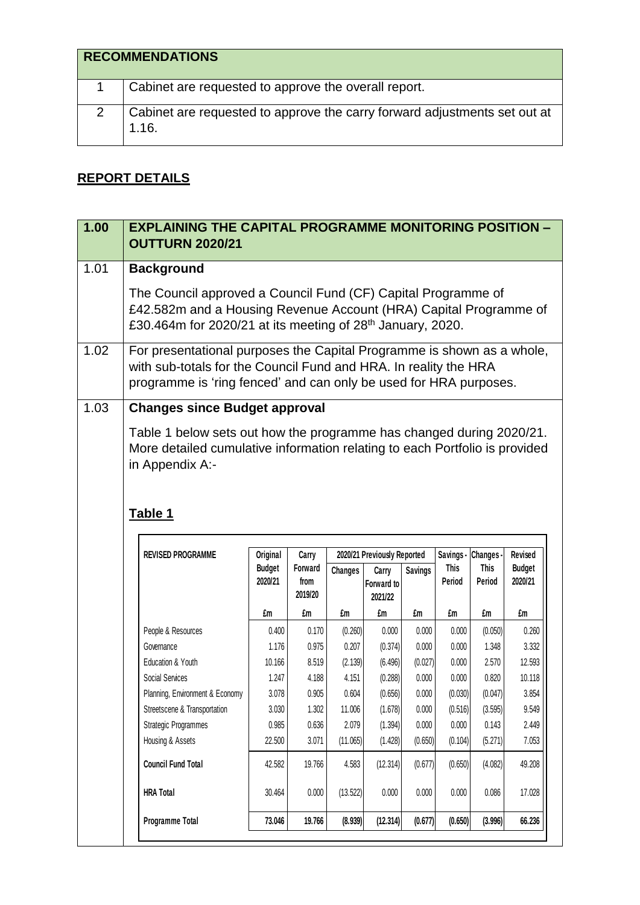|   | <b>RECOMMENDATIONS</b>                                                             |
|---|------------------------------------------------------------------------------------|
|   | Cabinet are requested to approve the overall report.                               |
| 2 | Cabinet are requested to approve the carry forward adjustments set out at<br>1.16. |

## **REPORT DETAILS**

| 1.00 | <b>EXPLAINING THE CAPITAL PROGRAMME MONITORING POSITION -</b><br><b>OUTTURN 2020/21</b>                                                                                                                         |                          |                            |                   |                                |                    |                       |                       |                          |  |
|------|-----------------------------------------------------------------------------------------------------------------------------------------------------------------------------------------------------------------|--------------------------|----------------------------|-------------------|--------------------------------|--------------------|-----------------------|-----------------------|--------------------------|--|
| 1.01 | <b>Background</b>                                                                                                                                                                                               |                          |                            |                   |                                |                    |                       |                       |                          |  |
|      | The Council approved a Council Fund (CF) Capital Programme of<br>£42.582m and a Housing Revenue Account (HRA) Capital Programme of<br>£30.464m for 2020/21 at its meeting of 28 <sup>th</sup> January, 2020.    |                          |                            |                   |                                |                    |                       |                       |                          |  |
| 1.02 | For presentational purposes the Capital Programme is shown as a whole,<br>with sub-totals for the Council Fund and HRA. In reality the HRA<br>programme is 'ring fenced' and can only be used for HRA purposes. |                          |                            |                   |                                |                    |                       |                       |                          |  |
| 1.03 | <b>Changes since Budget approval</b>                                                                                                                                                                            |                          |                            |                   |                                |                    |                       |                       |                          |  |
|      | More detailed cumulative information relating to each Portfolio is provided<br>in Appendix A:-                                                                                                                  |                          |                            |                   |                                |                    |                       |                       |                          |  |
|      | Table 1                                                                                                                                                                                                         |                          |                            |                   |                                |                    |                       |                       |                          |  |
|      | <b>REVISED PROGRAMME</b>                                                                                                                                                                                        | Original                 | Carry                      |                   | 2020/21 Previously Reported    |                    | Savings - Changes -   |                       | Revised                  |  |
|      |                                                                                                                                                                                                                 | <b>Budget</b><br>2020/21 | Forward<br>from<br>2019/20 | <b>Changes</b>    | Carry<br>Forward to<br>2021/22 | <b>Savings</b>     | <b>This</b><br>Period | <b>This</b><br>Period | <b>Budget</b><br>2020/21 |  |
|      |                                                                                                                                                                                                                 | £m                       | £m                         | £m                | £m                             | £m                 | £m                    | £m                    | £m                       |  |
|      | People & Resources                                                                                                                                                                                              | 0.400                    | 0.170                      | (0.260)           | 0.000                          | 0.000              | 0.000                 | (0.050)               | 0.260                    |  |
|      | Governance                                                                                                                                                                                                      | 1.176                    | 0.975                      | 0.207             | (0.374)                        | 0.000              | 0.000                 | 1.348                 | 3.332                    |  |
|      | Education & Youth                                                                                                                                                                                               | 10.166                   | 8.519                      | (2.139)           | (6.496)                        | (0.027)            | 0.000                 | 2.570                 | 12.593                   |  |
|      | Social Services                                                                                                                                                                                                 | 1.247                    | 4.188                      | 4.151             | (0.288)                        | 0.000              | 0.000                 | 0.820                 | 10.118                   |  |
|      | Planning, Environment & Economy                                                                                                                                                                                 | 3.078                    | 0.905                      | 0.604             | (0.656)                        | 0.000              | (0.030)               | (0.047)               | 3.854                    |  |
|      | Streetscene & Transportation                                                                                                                                                                                    | 3.030                    | 1.302                      | 11.006            | (1.678)                        | 0.000              | (0.516)               | (3.595)               | 9.549                    |  |
|      | <b>Strategic Programmes</b>                                                                                                                                                                                     | 0.985                    | 0.636                      | 2.079             | (1.394)                        | 0.000              | 0.000                 | 0.143                 | 2.449                    |  |
|      | Housing & Assets<br><b>Council Fund Total</b>                                                                                                                                                                   | 22.500<br>42.582         | 3.071<br>19.766            | (11.065)<br>4.583 | (1.428)<br>(12.314)            | (0.650)<br>(0.677) | (0.104)<br>(0.650)    | (5.271)<br>(4.082)    | 7.053<br>49.208          |  |
|      | <b>HRA Total</b>                                                                                                                                                                                                | 30.464                   | 0.000                      | (13.522)          | 0.000                          | 0.000              | 0.000                 | 0.086                 | 17.028                   |  |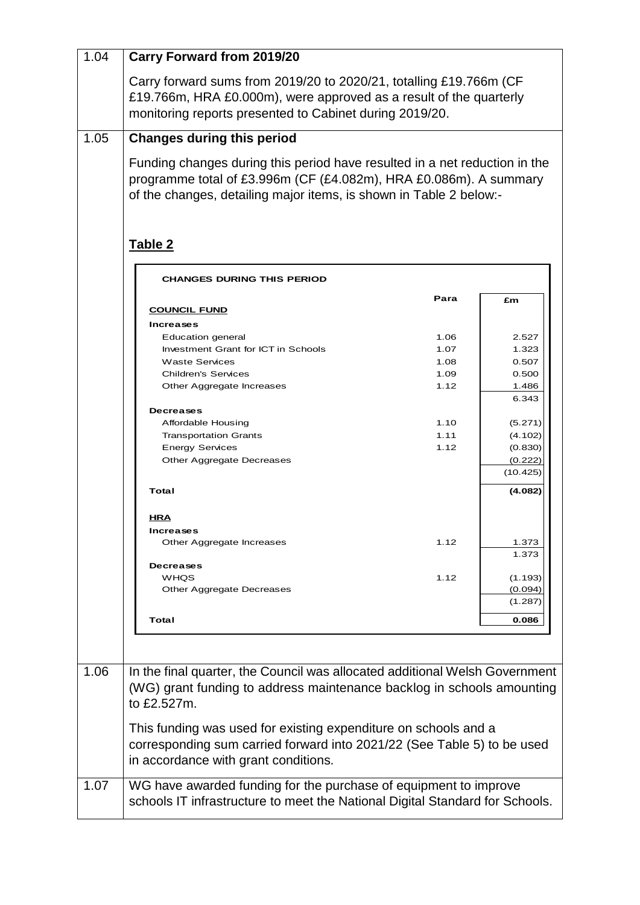| 1.04 | <b>Carry Forward from 2019/20</b>                                                                                                                                                                                     |              |                |
|------|-----------------------------------------------------------------------------------------------------------------------------------------------------------------------------------------------------------------------|--------------|----------------|
|      | Carry forward sums from 2019/20 to 2020/21, totalling £19.766m (CF<br>£19.766m, HRA £0.000m), were approved as a result of the quarterly<br>monitoring reports presented to Cabinet during 2019/20.                   |              |                |
| 1.05 | <b>Changes during this period</b>                                                                                                                                                                                     |              |                |
|      | Funding changes during this period have resulted in a net reduction in the<br>programme total of £3.996m (CF (£4.082m), HRA £0.086m). A summary<br>of the changes, detailing major items, is shown in Table 2 below:- |              |                |
|      | Table 2                                                                                                                                                                                                               |              |                |
|      | <b>CHANGES DURING THIS PERIOD</b>                                                                                                                                                                                     |              |                |
|      |                                                                                                                                                                                                                       | Para         | £m             |
|      | <b>COUNCIL FUND</b>                                                                                                                                                                                                   |              |                |
|      | <b>Increases</b>                                                                                                                                                                                                      |              |                |
|      | Education general                                                                                                                                                                                                     | 1.06         | 2.527          |
|      | Investment Grant for ICT in Schools                                                                                                                                                                                   | 1.07         | 1.323          |
|      | <b>Waste Services</b>                                                                                                                                                                                                 | 1.08         | 0.507          |
|      | <b>Children's Services</b>                                                                                                                                                                                            | 1.09<br>1.12 | 0.500          |
|      | Other Aggregate Increases                                                                                                                                                                                             |              | 1.486<br>6.343 |
|      | <b>Decreases</b>                                                                                                                                                                                                      |              |                |
|      | Affordable Housing                                                                                                                                                                                                    | 1.10         | (5.271)        |
|      | <b>Transportation Grants</b>                                                                                                                                                                                          | 1.11         | (4.102)        |
|      | <b>Energy Services</b>                                                                                                                                                                                                | 1.12         | (0.830)        |
|      | Other Aggregate Decreases                                                                                                                                                                                             |              | (0.222)        |
|      |                                                                                                                                                                                                                       |              | (10.425)       |
|      | Total                                                                                                                                                                                                                 |              | (4.082)        |
|      | <u>HRA</u>                                                                                                                                                                                                            |              |                |
|      | <b>Increases</b>                                                                                                                                                                                                      |              |                |
|      | Other Aggregate Increases                                                                                                                                                                                             | 1.12         | 1.373          |
|      |                                                                                                                                                                                                                       |              | 1.373          |
|      | <b>Decreases</b>                                                                                                                                                                                                      |              |                |
|      | WHQS                                                                                                                                                                                                                  | 1.12         | (1.193)        |
|      | Other Aggregate Decreases                                                                                                                                                                                             |              | (0.094)        |
|      |                                                                                                                                                                                                                       |              | (1.287)        |
|      | Total                                                                                                                                                                                                                 |              | 0.086          |
|      |                                                                                                                                                                                                                       |              |                |
|      |                                                                                                                                                                                                                       |              |                |
| 1.06 | In the final quarter, the Council was allocated additional Welsh Government<br>(WG) grant funding to address maintenance backlog in schools amounting                                                                 |              |                |
|      | to £2.527m.                                                                                                                                                                                                           |              |                |
|      | This funding was used for existing expenditure on schools and a<br>corresponding sum carried forward into 2021/22 (See Table 5) to be used<br>in accordance with grant conditions.                                    |              |                |
| 1.07 | WG have awarded funding for the purchase of equipment to improve<br>schools IT infrastructure to meet the National Digital Standard for Schools.                                                                      |              |                |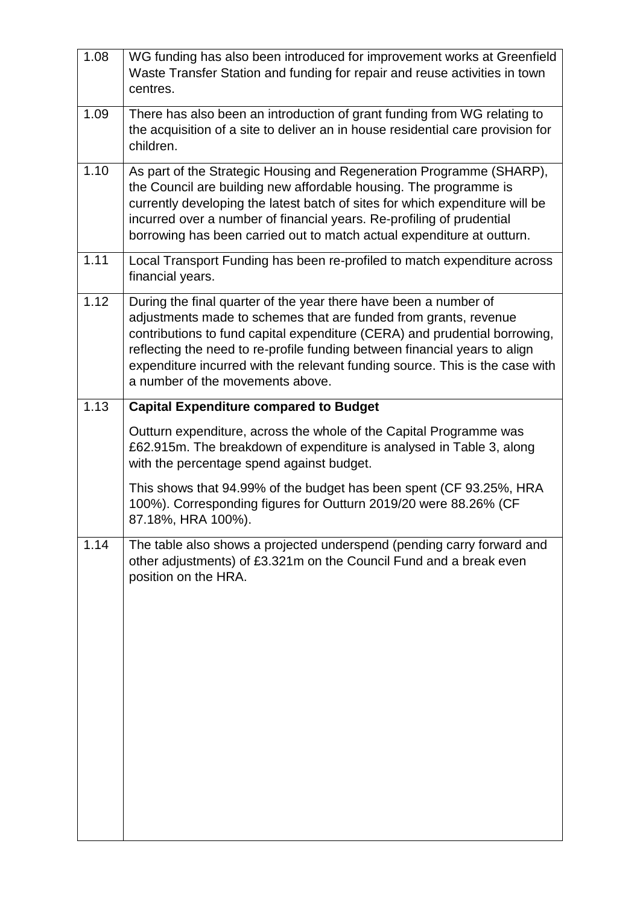| 1.08 | WG funding has also been introduced for improvement works at Greenfield<br>Waste Transfer Station and funding for repair and reuse activities in town<br>centres.                                                                                                                                                                                                                                                    |
|------|----------------------------------------------------------------------------------------------------------------------------------------------------------------------------------------------------------------------------------------------------------------------------------------------------------------------------------------------------------------------------------------------------------------------|
| 1.09 | There has also been an introduction of grant funding from WG relating to<br>the acquisition of a site to deliver an in house residential care provision for<br>children.                                                                                                                                                                                                                                             |
| 1.10 | As part of the Strategic Housing and Regeneration Programme (SHARP),<br>the Council are building new affordable housing. The programme is<br>currently developing the latest batch of sites for which expenditure will be<br>incurred over a number of financial years. Re-profiling of prudential<br>borrowing has been carried out to match actual expenditure at outturn.                                         |
| 1.11 | Local Transport Funding has been re-profiled to match expenditure across<br>financial years.                                                                                                                                                                                                                                                                                                                         |
| 1.12 | During the final quarter of the year there have been a number of<br>adjustments made to schemes that are funded from grants, revenue<br>contributions to fund capital expenditure (CERA) and prudential borrowing,<br>reflecting the need to re-profile funding between financial years to align<br>expenditure incurred with the relevant funding source. This is the case with<br>a number of the movements above. |
| 1.13 | <b>Capital Expenditure compared to Budget</b>                                                                                                                                                                                                                                                                                                                                                                        |
|      | Outturn expenditure, across the whole of the Capital Programme was<br>£62.915m. The breakdown of expenditure is analysed in Table 3, along<br>with the percentage spend against budget.                                                                                                                                                                                                                              |
|      | This shows that 94.99% of the budget has been spent (CF 93.25%, HRA<br>100%). Corresponding figures for Outturn 2019/20 were 88.26% (CF<br>87.18%, HRA 100%).                                                                                                                                                                                                                                                        |
| 1.14 | The table also shows a projected underspend (pending carry forward and<br>other adjustments) of £3.321m on the Council Fund and a break even<br>position on the HRA.                                                                                                                                                                                                                                                 |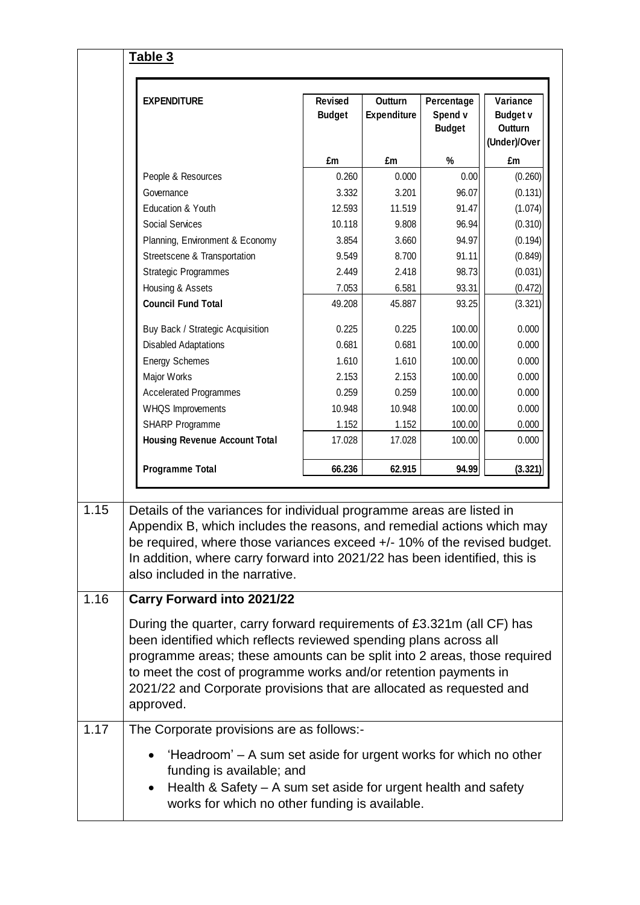|  | <b>EXPENDITURE</b>                                                                                                                                                                                                                                                                                                                                                               | Revised<br><b>Budget</b> | <b>Outturn</b><br>Expenditure | Percentage<br>Spend v<br><b>Budget</b> | Variance<br><b>Budget v</b><br><b>Outturn</b><br>(Under)/Over |         |
|--|----------------------------------------------------------------------------------------------------------------------------------------------------------------------------------------------------------------------------------------------------------------------------------------------------------------------------------------------------------------------------------|--------------------------|-------------------------------|----------------------------------------|---------------------------------------------------------------|---------|
|  |                                                                                                                                                                                                                                                                                                                                                                                  | £m                       | £m                            | $\%$                                   | £m                                                            |         |
|  | People & Resources                                                                                                                                                                                                                                                                                                                                                               |                          | 0.260                         | 0.000                                  | 0.00                                                          | (0.260) |
|  | Governance                                                                                                                                                                                                                                                                                                                                                                       | 3.332                    | 3.201                         | 96.07                                  | (0.131)                                                       |         |
|  | Education & Youth<br><b>Social Services</b><br>Planning, Environment & Economy<br>Streetscene & Transportation<br><b>Strategic Programmes</b>                                                                                                                                                                                                                                    | 12.593                   | 11.519                        | 91.47                                  | (1.074)                                                       |         |
|  |                                                                                                                                                                                                                                                                                                                                                                                  | 10.118                   | 9.808                         | 96.94                                  | (0.310)                                                       |         |
|  |                                                                                                                                                                                                                                                                                                                                                                                  | 3.854                    | 3.660                         | 94.97                                  | (0.194)                                                       |         |
|  |                                                                                                                                                                                                                                                                                                                                                                                  | 9.549                    | 8.700                         | 91.11                                  | (0.849)                                                       |         |
|  |                                                                                                                                                                                                                                                                                                                                                                                  | 2.449                    | 2.418                         | 98.73                                  | (0.031)                                                       |         |
|  | Housing & Assets                                                                                                                                                                                                                                                                                                                                                                 | 7.053                    | 6.581                         | 93.31                                  | (0.472)                                                       |         |
|  | <b>Council Fund Total</b>                                                                                                                                                                                                                                                                                                                                                        | 49.208                   | 45.887                        | 93.25                                  | (3.321)                                                       |         |
|  | Buy Back / Strategic Acquisition                                                                                                                                                                                                                                                                                                                                                 | 0.225                    | 0.225                         | 100.00                                 | 0.000                                                         |         |
|  | <b>Disabled Adaptations</b>                                                                                                                                                                                                                                                                                                                                                      | 0.681                    | 0.681                         | 100.00                                 | 0.000                                                         |         |
|  | <b>Energy Schemes</b>                                                                                                                                                                                                                                                                                                                                                            | 1.610                    | 1.610                         | 100.00                                 | 0.000                                                         |         |
|  | Major Works                                                                                                                                                                                                                                                                                                                                                                      | 2.153                    | 2.153                         | 100.00                                 | 0.000                                                         |         |
|  | <b>Accelerated Programmes</b>                                                                                                                                                                                                                                                                                                                                                    | 0.259                    | 0.259                         | 100.00                                 | 0.000                                                         |         |
|  | WHQS Improvements                                                                                                                                                                                                                                                                                                                                                                | 10.948                   | 10.948                        | 100.00                                 | 0.000                                                         |         |
|  | SHARP Programme                                                                                                                                                                                                                                                                                                                                                                  | 1.152                    | 1.152                         | 100.00                                 | 0.000                                                         |         |
|  | <b>Housing Revenue Account Total</b>                                                                                                                                                                                                                                                                                                                                             | 17.028                   | 17.028                        | 100.00                                 | 0.000                                                         |         |
|  | <b>Programme Total</b>                                                                                                                                                                                                                                                                                                                                                           | 66.236                   | 62.915                        | 94.99                                  | (3.321)                                                       |         |
|  |                                                                                                                                                                                                                                                                                                                                                                                  |                          |                               |                                        |                                                               |         |
|  | Details of the variances for individual programme areas are listed in                                                                                                                                                                                                                                                                                                            |                          |                               |                                        |                                                               |         |
|  | Appendix B, which includes the reasons, and remedial actions which may                                                                                                                                                                                                                                                                                                           |                          |                               |                                        |                                                               |         |
|  | be required, where those variances exceed +/- 10% of the revised budget.                                                                                                                                                                                                                                                                                                         |                          |                               |                                        |                                                               |         |
|  | In addition, where carry forward into 2021/22 has been identified, this is                                                                                                                                                                                                                                                                                                       |                          |                               |                                        |                                                               |         |
|  | also included in the narrative.                                                                                                                                                                                                                                                                                                                                                  |                          |                               |                                        |                                                               |         |
|  | <b>Carry Forward into 2021/22</b>                                                                                                                                                                                                                                                                                                                                                |                          |                               |                                        |                                                               |         |
|  | During the quarter, carry forward requirements of £3.321m (all CF) has<br>been identified which reflects reviewed spending plans across all<br>programme areas; these amounts can be split into 2 areas, those required<br>to meet the cost of programme works and/or retention payments in<br>2021/22 and Corporate provisions that are allocated as requested and<br>approved. |                          |                               |                                        |                                                               |         |
|  | The Corporate provisions are as follows:-                                                                                                                                                                                                                                                                                                                                        |                          |                               |                                        |                                                               |         |
|  | 'Headroom' – A sum set aside for urgent works for which no other<br>funding is available; and                                                                                                                                                                                                                                                                                    |                          |                               |                                        |                                                               |         |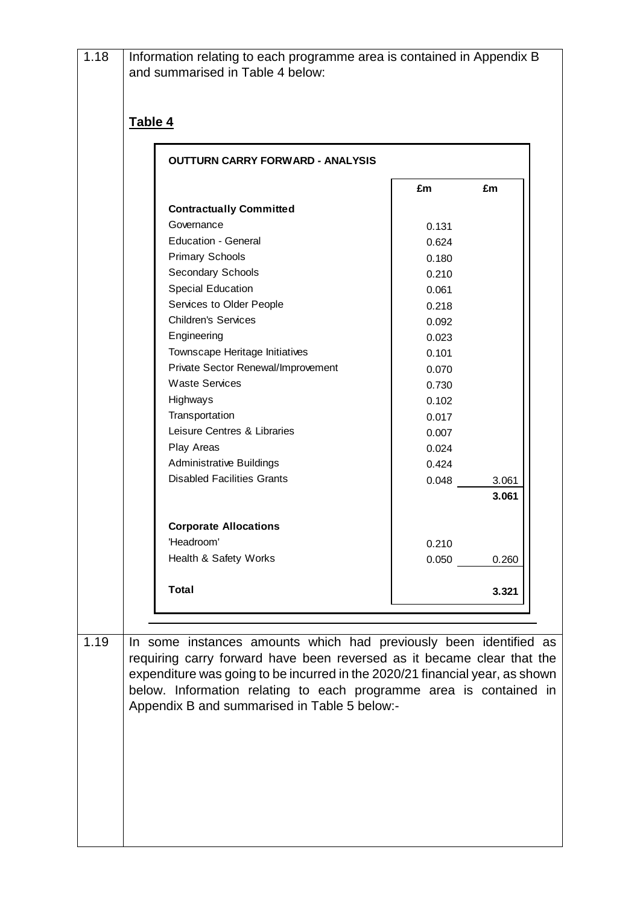| 1.18 | Information relating to each programme area is contained in Appendix B<br>and summarised in Table 4 below:                                  |       |       |
|------|---------------------------------------------------------------------------------------------------------------------------------------------|-------|-------|
|      | Table 4                                                                                                                                     |       |       |
|      | <b>OUTTURN CARRY FORWARD - ANALYSIS</b>                                                                                                     |       |       |
|      |                                                                                                                                             | £m    | £m    |
|      | <b>Contractually Committed</b>                                                                                                              |       |       |
|      | Governance                                                                                                                                  | 0.131 |       |
|      | <b>Education - General</b>                                                                                                                  | 0.624 |       |
|      | <b>Primary Schools</b>                                                                                                                      | 0.180 |       |
|      | Secondary Schools                                                                                                                           | 0.210 |       |
|      | <b>Special Education</b>                                                                                                                    | 0.061 |       |
|      | Services to Older People                                                                                                                    | 0.218 |       |
|      | <b>Children's Services</b>                                                                                                                  | 0.092 |       |
|      | Engineering                                                                                                                                 | 0.023 |       |
|      | Townscape Heritage Initiatives                                                                                                              | 0.101 |       |
|      | Private Sector Renewal/Improvement                                                                                                          | 0.070 |       |
|      | <b>Waste Services</b>                                                                                                                       | 0.730 |       |
|      | Highways                                                                                                                                    | 0.102 |       |
|      | Transportation                                                                                                                              | 0.017 |       |
|      | Leisure Centres & Libraries                                                                                                                 | 0.007 |       |
|      | Play Areas                                                                                                                                  | 0.024 |       |
|      | <b>Administrative Buildings</b>                                                                                                             | 0.424 |       |
|      | <b>Disabled Facilities Grants</b>                                                                                                           |       | 3.061 |
|      |                                                                                                                                             |       | 3.061 |
|      | <b>Corporate Allocations</b>                                                                                                                |       |       |
|      | 'Headroom'                                                                                                                                  | 0.210 |       |
|      | Health & Safety Works                                                                                                                       | 0.050 | 0.260 |
|      |                                                                                                                                             |       |       |
|      | <b>Total</b>                                                                                                                                |       | 3.321 |
|      |                                                                                                                                             |       |       |
| 1.19 |                                                                                                                                             |       |       |
|      | In some instances amounts which had previously been identified as<br>requiring carry forward have been reversed as it became clear that the |       |       |
|      | expenditure was going to be incurred in the 2020/21 financial year, as shown                                                                |       |       |
|      | below. Information relating to each programme area is contained in<br>Appendix B and summarised in Table 5 below:-                          |       |       |
|      |                                                                                                                                             |       |       |
|      |                                                                                                                                             |       |       |
|      |                                                                                                                                             |       |       |
|      |                                                                                                                                             |       |       |
|      |                                                                                                                                             |       |       |
|      |                                                                                                                                             |       |       |
|      |                                                                                                                                             |       |       |
|      |                                                                                                                                             |       |       |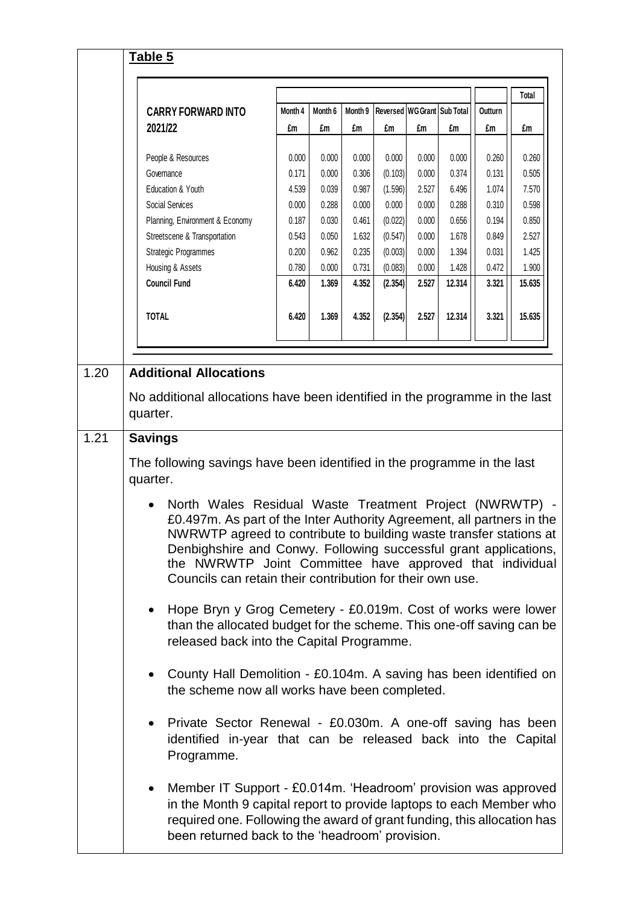|      | Table 5                                                                                                                                                                                                                                                                                                                                                                                              |         |         |         |                             |       |        |         |        |
|------|------------------------------------------------------------------------------------------------------------------------------------------------------------------------------------------------------------------------------------------------------------------------------------------------------------------------------------------------------------------------------------------------------|---------|---------|---------|-----------------------------|-------|--------|---------|--------|
|      |                                                                                                                                                                                                                                                                                                                                                                                                      |         |         |         |                             |       |        |         | Total  |
|      | <b>CARRY FORWARD INTO</b>                                                                                                                                                                                                                                                                                                                                                                            | Month 4 | Month 6 | Month 9 | Reversed WG Grant Sub Total |       |        | Outturn |        |
|      | 2021/22                                                                                                                                                                                                                                                                                                                                                                                              | £m      | £m      | £m      | £m                          | £m    | £m     | £m      | £m     |
|      | People & Resources                                                                                                                                                                                                                                                                                                                                                                                   | 0.000   | 0.000   | 0.000   | 0.000                       | 0.000 | 0.000  | 0.260   | 0.260  |
|      | Governance                                                                                                                                                                                                                                                                                                                                                                                           | 0.171   | 0.000   | 0.306   | (0.103)                     | 0.000 | 0.374  | 0.131   | 0.505  |
|      | Education & Youth                                                                                                                                                                                                                                                                                                                                                                                    | 4.539   | 0.039   | 0.987   | (1.596)                     | 2.527 | 6.496  | 1.074   | 7.570  |
|      | Social Services                                                                                                                                                                                                                                                                                                                                                                                      | 0.000   | 0.288   | 0.000   | 0.000                       | 0.000 | 0.288  | 0.310   | 0.598  |
|      | Planning, Environment & Economy                                                                                                                                                                                                                                                                                                                                                                      | 0.187   | 0.030   | 0.461   | (0.022)                     | 0.000 | 0.656  | 0.194   | 0.850  |
|      | Streetscene & Transportation                                                                                                                                                                                                                                                                                                                                                                         | 0.543   | 0.050   | 1.632   | (0.547)                     | 0.000 | 1.678  | 0.849   | 2.527  |
|      | Strategic Programmes                                                                                                                                                                                                                                                                                                                                                                                 | 0.200   | 0.962   | 0.235   | (0.003)                     | 0.000 | 1.394  | 0.031   | 1.425  |
|      | Housing & Assets                                                                                                                                                                                                                                                                                                                                                                                     | 0.780   | 0.000   | 0.731   | (0.083)                     | 0.000 | 1.428  | 0.472   | 1.900  |
|      | <b>Council Fund</b>                                                                                                                                                                                                                                                                                                                                                                                  | 6.420   | 1.369   | 4.352   | (2.354)                     | 2.527 | 12.314 | 3.321   | 15.635 |
|      | <b>TOTAL</b>                                                                                                                                                                                                                                                                                                                                                                                         | 6.420   | 1.369   | 4.352   | (2.354)                     | 2.527 | 12.314 | 3.321   | 15.635 |
|      |                                                                                                                                                                                                                                                                                                                                                                                                      |         |         |         |                             |       |        |         |        |
| 1.20 | <b>Additional Allocations</b>                                                                                                                                                                                                                                                                                                                                                                        |         |         |         |                             |       |        |         |        |
|      | No additional allocations have been identified in the programme in the last                                                                                                                                                                                                                                                                                                                          |         |         |         |                             |       |        |         |        |
|      | quarter.                                                                                                                                                                                                                                                                                                                                                                                             |         |         |         |                             |       |        |         |        |
| 1.21 | <b>Savings</b>                                                                                                                                                                                                                                                                                                                                                                                       |         |         |         |                             |       |        |         |        |
|      | The following savings have been identified in the programme in the last<br>quarter.                                                                                                                                                                                                                                                                                                                  |         |         |         |                             |       |        |         |        |
|      | North Wales Residual Waste Treatment Project (NWRWTP) -<br>£0.497m. As part of the Inter Authority Agreement, all partners in the<br>NWRWTP agreed to contribute to building waste transfer stations at<br>Denbighshire and Conwy. Following successful grant applications,<br>the NWRWTP Joint Committee have approved that individual<br>Councils can retain their contribution for their own use. |         |         |         |                             |       |        |         |        |
|      | Hope Bryn y Grog Cemetery - £0.019m. Cost of works were lower<br>$\bullet$<br>than the allocated budget for the scheme. This one-off saving can be<br>released back into the Capital Programme.<br>County Hall Demolition - £0.104m. A saving has been identified on<br>$\bullet$<br>the scheme now all works have been completed.                                                                   |         |         |         |                             |       |        |         |        |
|      |                                                                                                                                                                                                                                                                                                                                                                                                      |         |         |         |                             |       |        |         |        |
|      | Private Sector Renewal - £0.030m. A one-off saving has been<br>identified in-year that can be released back into the Capital<br>Programme.                                                                                                                                                                                                                                                           |         |         |         |                             |       |        |         |        |
|      | Member IT Support - £0.014m. 'Headroom' provision was approved<br>$\bullet$<br>in the Month 9 capital report to provide laptops to each Member who<br>required one. Following the award of grant funding, this allocation has<br>been returned back to the 'headroom' provision.                                                                                                                     |         |         |         |                             |       |        |         |        |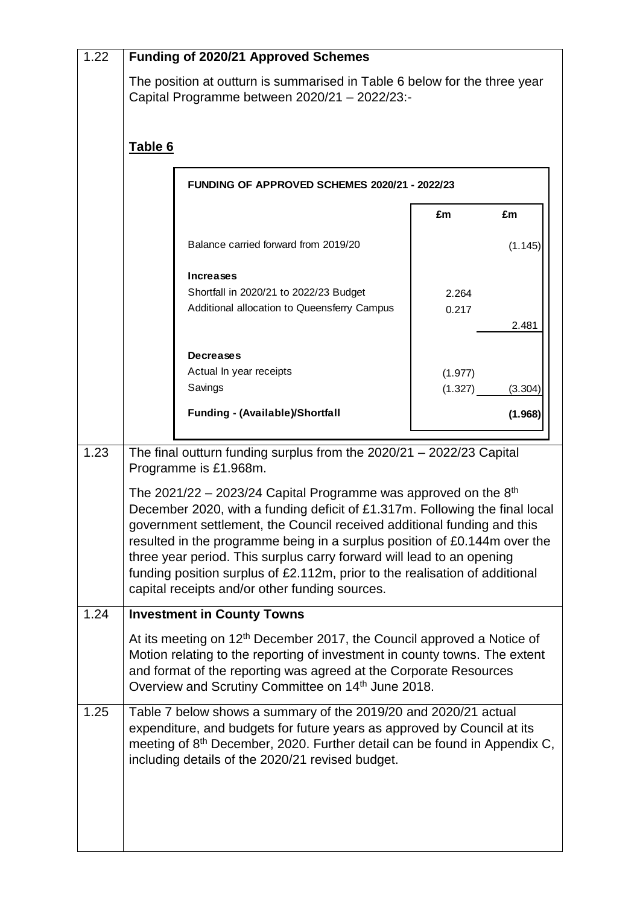| 1.22 |         | <b>Funding of 2020/21 Approved Schemes</b>                                                                                                                                                                                                                                                                                                                                                                                                                                                                         |         |         |
|------|---------|--------------------------------------------------------------------------------------------------------------------------------------------------------------------------------------------------------------------------------------------------------------------------------------------------------------------------------------------------------------------------------------------------------------------------------------------------------------------------------------------------------------------|---------|---------|
|      |         | The position at outturn is summarised in Table 6 below for the three year<br>Capital Programme between 2020/21 - 2022/23:-                                                                                                                                                                                                                                                                                                                                                                                         |         |         |
|      | Table 6 |                                                                                                                                                                                                                                                                                                                                                                                                                                                                                                                    |         |         |
|      |         | FUNDING OF APPROVED SCHEMES 2020/21 - 2022/23                                                                                                                                                                                                                                                                                                                                                                                                                                                                      |         |         |
|      |         |                                                                                                                                                                                                                                                                                                                                                                                                                                                                                                                    | £m      | £m      |
|      |         | Balance carried forward from 2019/20                                                                                                                                                                                                                                                                                                                                                                                                                                                                               |         | (1.145) |
|      |         | <b>Increases</b>                                                                                                                                                                                                                                                                                                                                                                                                                                                                                                   |         |         |
|      |         | Shortfall in 2020/21 to 2022/23 Budget                                                                                                                                                                                                                                                                                                                                                                                                                                                                             | 2.264   |         |
|      |         | Additional allocation to Queensferry Campus                                                                                                                                                                                                                                                                                                                                                                                                                                                                        | 0.217   |         |
|      |         |                                                                                                                                                                                                                                                                                                                                                                                                                                                                                                                    |         | 2.481   |
|      |         | <b>Decreases</b>                                                                                                                                                                                                                                                                                                                                                                                                                                                                                                   |         |         |
|      |         | Actual In year receipts                                                                                                                                                                                                                                                                                                                                                                                                                                                                                            | (1.977) |         |
|      |         | Savings                                                                                                                                                                                                                                                                                                                                                                                                                                                                                                            | (1.327) | (3.304) |
|      |         | <b>Funding - (Available)/Shortfall</b>                                                                                                                                                                                                                                                                                                                                                                                                                                                                             |         | (1.968) |
| 1.23 |         | The final outturn funding surplus from the 2020/21 - 2022/23 Capital<br>Programme is £1.968m.                                                                                                                                                                                                                                                                                                                                                                                                                      |         |         |
|      |         | The 2021/22 – 2023/24 Capital Programme was approved on the $8th$<br>December 2020, with a funding deficit of £1.317m. Following the final local<br>government settlement, the Council received additional funding and this<br>resulted in the programme being in a surplus position of £0.144m over the<br>three year period. This surplus carry forward will lead to an opening<br>funding position surplus of £2.112m, prior to the realisation of additional<br>capital receipts and/or other funding sources. |         |         |
| 1.24 |         | <b>Investment in County Towns</b>                                                                                                                                                                                                                                                                                                                                                                                                                                                                                  |         |         |
|      |         | At its meeting on 12 <sup>th</sup> December 2017, the Council approved a Notice of<br>Motion relating to the reporting of investment in county towns. The extent<br>and format of the reporting was agreed at the Corporate Resources<br>Overview and Scrutiny Committee on 14 <sup>th</sup> June 2018.                                                                                                                                                                                                            |         |         |
| 1.25 |         | Table 7 below shows a summary of the 2019/20 and 2020/21 actual<br>expenditure, and budgets for future years as approved by Council at its<br>meeting of 8 <sup>th</sup> December, 2020. Further detail can be found in Appendix C,<br>including details of the 2020/21 revised budget.                                                                                                                                                                                                                            |         |         |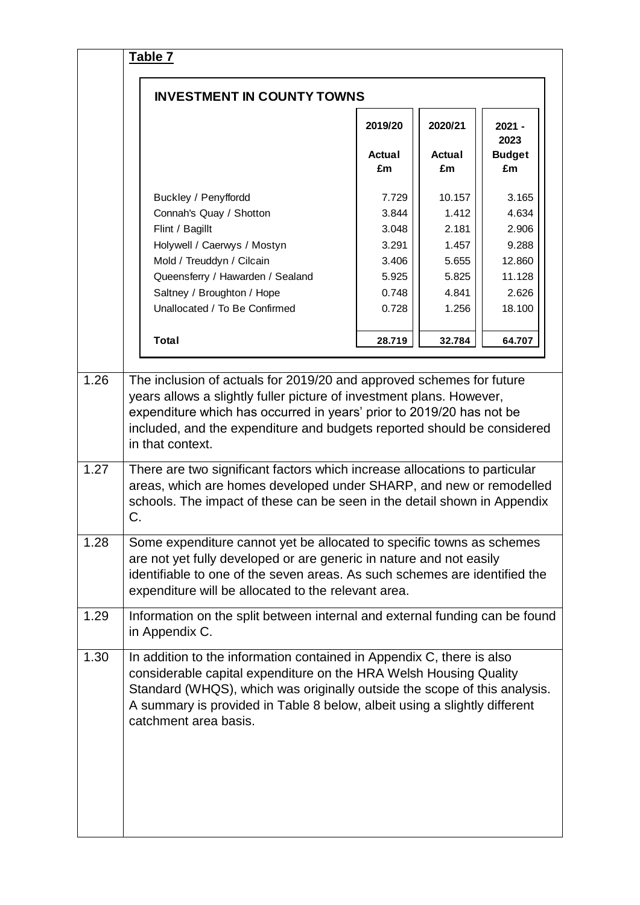|      | <b>INVESTMENT IN COUNTY TOWNS</b>                                                                                                                                                                                                                                                                                                  |                                                                      |                                                                       |                                                                         |
|------|------------------------------------------------------------------------------------------------------------------------------------------------------------------------------------------------------------------------------------------------------------------------------------------------------------------------------------|----------------------------------------------------------------------|-----------------------------------------------------------------------|-------------------------------------------------------------------------|
|      |                                                                                                                                                                                                                                                                                                                                    | 2019/20<br>Actual<br>£m                                              | 2020/21<br>Actual<br>£m                                               | $2021 -$<br>2023<br><b>Budget</b><br>£m                                 |
|      | Buckley / Penyffordd<br>Connah's Quay / Shotton<br>Flint / Bagillt<br>Holywell / Caerwys / Mostyn<br>Mold / Treuddyn / Cilcain<br>Queensferry / Hawarden / Sealand<br>Saltney / Broughton / Hope<br>Unallocated / To Be Confirmed                                                                                                  | 7.729<br>3.844<br>3.048<br>3.291<br>3.406<br>5.925<br>0.748<br>0.728 | 10.157<br>1.412<br>2.181<br>1.457<br>5.655<br>5.825<br>4.841<br>1.256 | 3.165<br>4.634<br>2.906<br>9.288<br>12.860<br>11.128<br>2.626<br>18.100 |
|      | <b>Total</b>                                                                                                                                                                                                                                                                                                                       | 28.719                                                               | 32.784                                                                | 64.707                                                                  |
|      |                                                                                                                                                                                                                                                                                                                                    |                                                                      |                                                                       |                                                                         |
| 1.27 | included, and the expenditure and budgets reported should be considered<br>in that context.<br>There are two significant factors which increase allocations to particular<br>areas, which are homes developed under SHARP, and new or remodelled<br>schools. The impact of these can be seen in the detail shown in Appendix<br>C. |                                                                      |                                                                       |                                                                         |
| 1.28 | Some expenditure cannot yet be allocated to specific towns as schemes<br>are not yet fully developed or are generic in nature and not easily<br>identifiable to one of the seven areas. As such schemes are identified the<br>expenditure will be allocated to the relevant area.                                                  |                                                                      |                                                                       |                                                                         |
| 1.29 | Information on the split between internal and external funding can be found<br>in Appendix C.                                                                                                                                                                                                                                      |                                                                      |                                                                       |                                                                         |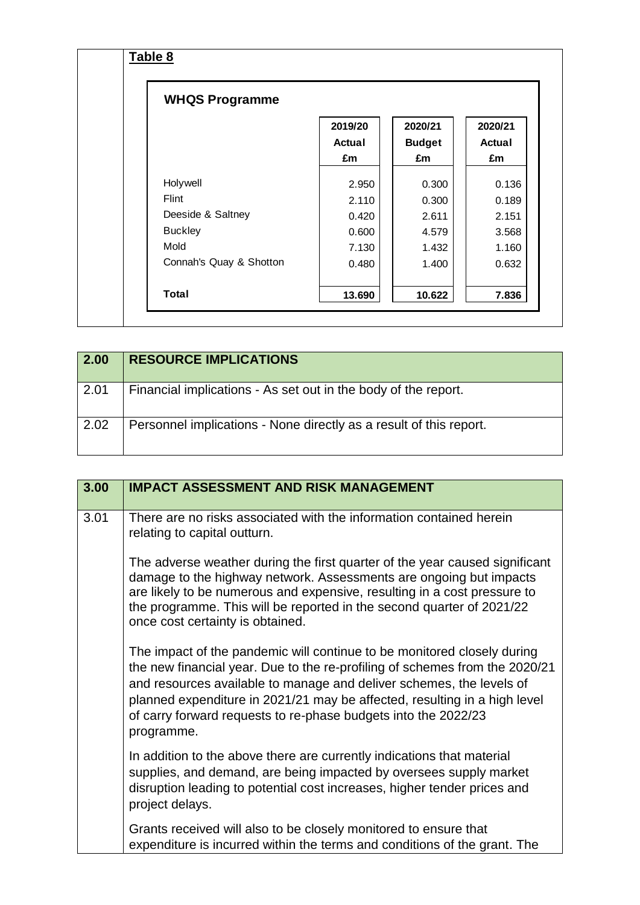| <b>WHQS Programme</b>   |                   |                          |                          |
|-------------------------|-------------------|--------------------------|--------------------------|
|                         | 2019/20<br>Actual | 2020/21<br><b>Budget</b> | 2020/21<br><b>Actual</b> |
|                         | £m                | £m                       | £m                       |
| Holywell                | 2.950             | 0.300                    | 0.136                    |
| Flint                   | 2.110             | 0.300                    | 0.189                    |
| Deeside & Saltney       | 0.420             | 2.611                    | 2.151                    |
| <b>Buckley</b>          | 0.600             | 4.579                    | 3.568                    |
| Mold                    | 7.130             | 1.432                    | 1.160                    |
| Connah's Quay & Shotton | 0.480             | 1.400                    | 0.632                    |
| <b>Total</b>            | 13.690            | 10.622                   | 7.836                    |

| 2.00   | <b>RESOURCE IMPLICATIONS</b>                                       |
|--------|--------------------------------------------------------------------|
| $2.01$ | Financial implications - As set out in the body of the report.     |
| 2.02   | Personnel implications - None directly as a result of this report. |

| 3.00 | <b>IMPACT ASSESSMENT AND RISK MANAGEMENT</b>                                                                                                                                                                                                                                                                                                                                                |
|------|---------------------------------------------------------------------------------------------------------------------------------------------------------------------------------------------------------------------------------------------------------------------------------------------------------------------------------------------------------------------------------------------|
| 3.01 | There are no risks associated with the information contained herein<br>relating to capital outturn.                                                                                                                                                                                                                                                                                         |
|      | The adverse weather during the first quarter of the year caused significant<br>damage to the highway network. Assessments are ongoing but impacts<br>are likely to be numerous and expensive, resulting in a cost pressure to<br>the programme. This will be reported in the second quarter of 2021/22<br>once cost certainty is obtained.                                                  |
|      | The impact of the pandemic will continue to be monitored closely during<br>the new financial year. Due to the re-profiling of schemes from the 2020/21<br>and resources available to manage and deliver schemes, the levels of<br>planned expenditure in 2021/21 may be affected, resulting in a high level<br>of carry forward requests to re-phase budgets into the 2022/23<br>programme. |
|      | In addition to the above there are currently indications that material<br>supplies, and demand, are being impacted by oversees supply market<br>disruption leading to potential cost increases, higher tender prices and<br>project delays.                                                                                                                                                 |
|      | Grants received will also to be closely monitored to ensure that<br>expenditure is incurred within the terms and conditions of the grant. The                                                                                                                                                                                                                                               |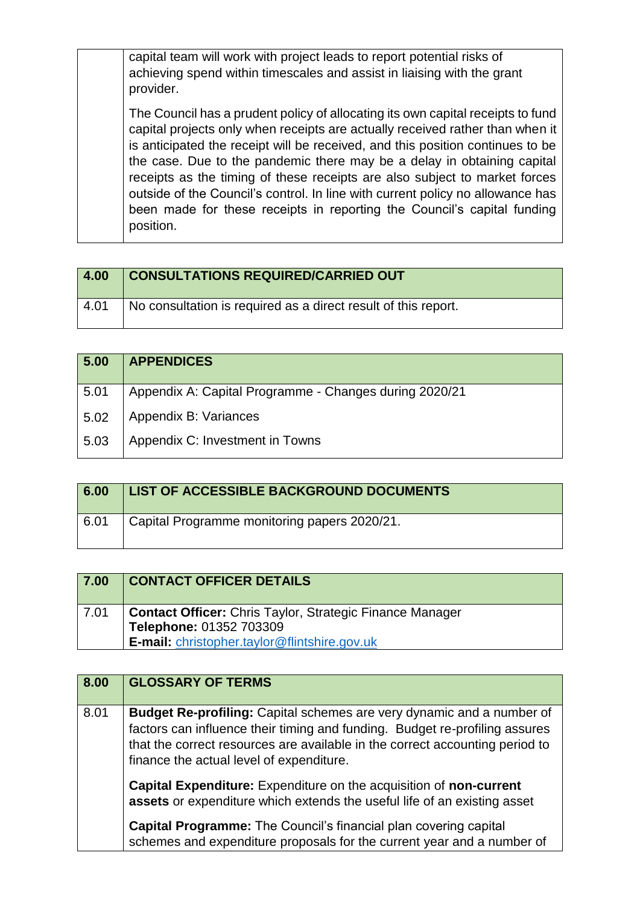capital team will work with project leads to report potential risks of achieving spend within timescales and assist in liaising with the grant provider.

The Council has a prudent policy of allocating its own capital receipts to fund capital projects only when receipts are actually received rather than when it is anticipated the receipt will be received, and this position continues to be the case. Due to the pandemic there may be a delay in obtaining capital receipts as the timing of these receipts are also subject to market forces outside of the Council's control. In line with current policy no allowance has been made for these receipts in reporting the Council's capital funding position.

| 4.00 | <b>CONSULTATIONS REQUIRED/CARRIED OUT</b>                      |
|------|----------------------------------------------------------------|
| 4.01 | No consultation is required as a direct result of this report. |

| 5.00 | <b>APPENDICES</b>                                      |
|------|--------------------------------------------------------|
| 5.01 | Appendix A: Capital Programme - Changes during 2020/21 |
| 5.02 | Appendix B: Variances                                  |
| 5.03 | Appendix C: Investment in Towns                        |

| 6.00 | <b>LIST OF ACCESSIBLE BACKGROUND DOCUMENTS</b> |
|------|------------------------------------------------|
| 6.01 | Capital Programme monitoring papers 2020/21.   |

| 7.00 | <b>CONTACT OFFICER DETAILS</b>                                                             |
|------|--------------------------------------------------------------------------------------------|
| 7.01 | <b>Contact Officer:</b> Chris Taylor, Strategic Finance Manager<br>Telephone: 01352 703309 |
|      | E-mail: christopher.taylor@flintshire.gov.uk                                               |

| 8.00 | <b>GLOSSARY OF TERMS</b>                                                                                                                                                                                                                                                                |
|------|-----------------------------------------------------------------------------------------------------------------------------------------------------------------------------------------------------------------------------------------------------------------------------------------|
| 8.01 | <b>Budget Re-profiling:</b> Capital schemes are very dynamic and a number of<br>factors can influence their timing and funding. Budget re-profiling assures<br>that the correct resources are available in the correct accounting period to<br>finance the actual level of expenditure. |
|      | Capital Expenditure: Expenditure on the acquisition of non-current<br>assets or expenditure which extends the useful life of an existing asset                                                                                                                                          |
|      | <b>Capital Programme:</b> The Council's financial plan covering capital<br>schemes and expenditure proposals for the current year and a number of                                                                                                                                       |